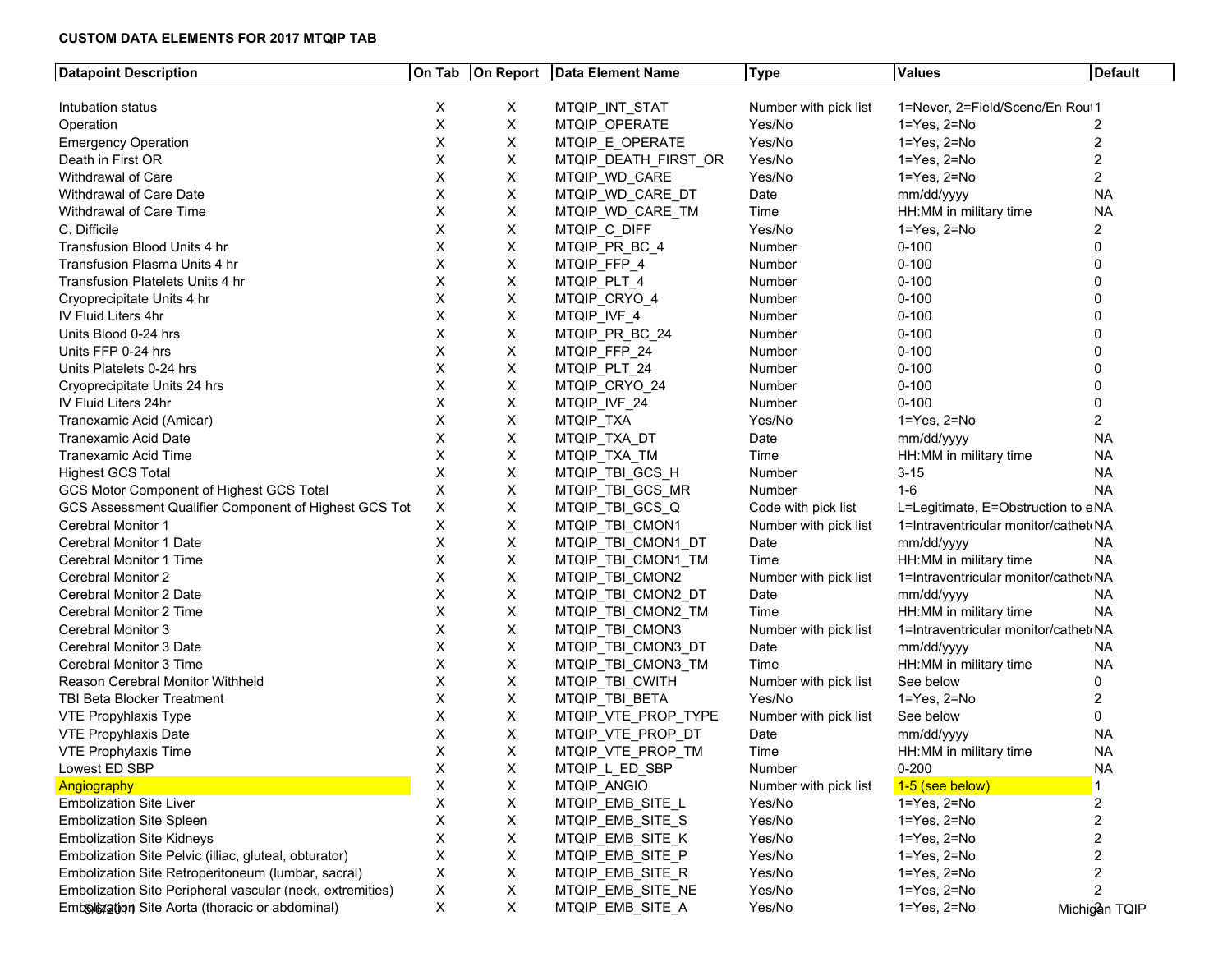# **CUSTOM DATA ELEMENTS FOR 2017 MTQIP TAB**

| <b>Datapoint Description</b>                              |    |                           | On Tab   On Report   Data Element Name | Type                  | <b>Values</b>                        | <b>Default</b> |
|-----------------------------------------------------------|----|---------------------------|----------------------------------------|-----------------------|--------------------------------------|----------------|
|                                                           |    |                           |                                        |                       |                                      |                |
| Intubation status                                         | X. | Χ                         | MTQIP_INT_STAT                         | Number with pick list | 1=Never, 2=Field/Scene/En Roul1      |                |
| Operation                                                 | X  | $\pmb{\times}$            | MTQIP_OPERATE                          | Yes/No                | 1=Yes, 2=No                          |                |
| <b>Emergency Operation</b>                                | X  | X                         | MTQIP_E_OPERATE                        | Yes/No                | 1=Yes, 2=No                          |                |
| Death in First OR                                         | X  | $\mathsf X$               | MTQIP_DEATH_FIRST_OR                   | Yes/No                | 1=Yes, 2=No                          |                |
| Withdrawal of Care                                        | Х  | X                         | MTQIP_WD_CARE                          | Yes/No                | 1=Yes, 2=No                          |                |
| Withdrawal of Care Date                                   |    | X                         | MTQIP_WD_CARE_DT                       | Date                  | mm/dd/yyyy                           | <b>NA</b>      |
| Withdrawal of Care Time                                   |    | $\boldsymbol{\mathsf{X}}$ | MTQIP WD CARE TM                       | Time                  | HH:MM in military time               | <b>NA</b>      |
| C. Difficile                                              |    | X                         | MTQIP_C_DIFF                           | Yes/No                | 1=Yes, 2=No                          |                |
| Transfusion Blood Units 4 hr                              |    | $\boldsymbol{\mathsf{X}}$ | MTQIP_PR_BC_4                          | Number                | $0 - 100$                            |                |
| Transfusion Plasma Units 4 hr                             | X  | X                         | MTQIP_FFP_4                            | Number                | $0 - 100$                            |                |
| Transfusion Platelets Units 4 hr                          | X  | $\boldsymbol{\mathsf{X}}$ | MTQIP_PLT_4                            | Number                | $0 - 100$                            |                |
| Cryoprecipitate Units 4 hr                                | X  | $\boldsymbol{\mathsf{X}}$ | MTQIP_CRYO_4                           | Number                | $0 - 100$                            |                |
| IV Fluid Liters 4hr                                       |    | X                         | MTQIP_IVF_4                            | Number                | $0 - 100$                            |                |
| Units Blood 0-24 hrs                                      |    | X                         | MTQIP PR BC 24                         | Number                | $0 - 100$                            |                |
| Units FFP 0-24 hrs                                        |    | X                         | MTQIP_FFP_24                           | Number                | $0 - 100$                            |                |
| Units Platelets 0-24 hrs                                  |    | X                         | MTQIP PLT 24                           | Number                | $0 - 100$                            |                |
| Cryoprecipitate Units 24 hrs                              |    | $\pmb{\times}$            | MTQIP CRYO 24                          | Number                | $0 - 100$                            |                |
| IV Fluid Liters 24hr                                      |    | $\mathsf X$               | MTQIP_IVF_24                           | Number                | $0 - 100$                            |                |
| Tranexamic Acid (Amicar)                                  | Х  | $\boldsymbol{\mathsf{X}}$ | MTQIP_TXA                              | Yes/No                | 1=Yes, 2=No                          |                |
| <b>Tranexamic Acid Date</b>                               |    | $\boldsymbol{\mathsf{X}}$ | MTQIP_TXA_DT                           | Date                  | mm/dd/yyyy                           | ΝA             |
| <b>Tranexamic Acid Time</b>                               |    | $\boldsymbol{\mathsf{X}}$ | MTQIP_TXA_TM                           | Time                  | HH:MM in military time               | <b>NA</b>      |
| <b>Highest GCS Total</b>                                  |    | X                         | MTQIP_TBI_GCS_H                        | Number                | $3 - 15$                             | NA             |
| GCS Motor Component of Highest GCS Total                  | Χ  | X                         | MTQIP TBI GCS MR                       | Number                | $1 - 6$                              | <b>NA</b>      |
| GCS Assessment Qualifier Component of Highest GCS Tot     | X  | $\pmb{\times}$            | MTQIP_TBI_GCS_Q                        | Code with pick list   | L=Legitimate, E=Obstruction to eNA   |                |
| <b>Cerebral Monitor 1</b>                                 | Х  | X                         | MTQIP_TBI_CMON1                        | Number with pick list | 1=Intraventricular monitor/cathet(NA |                |
| <b>Cerebral Monitor 1 Date</b>                            | X  | $\boldsymbol{\mathsf{X}}$ | MTQIP_TBI_CMON1_DT                     | Date                  | mm/dd/yyyy                           | ΝA             |
| <b>Cerebral Monitor 1 Time</b>                            |    | $\mathsf X$               | MTQIP_TBI_CMON1_TM                     | Time                  | HH:MM in military time               | NA             |
| <b>Cerebral Monitor 2</b>                                 |    | X                         | MTQIP TBI CMON2                        | Number with pick list | 1=Intraventricular monitor/cathet(NA |                |
| Cerebral Monitor 2 Date                                   |    | $\boldsymbol{\mathsf{X}}$ | MTQIP_TBI_CMON2_DT                     | Date                  | mm/dd/yyyy                           | NA             |
| Cerebral Monitor 2 Time                                   |    | $\pmb{\times}$            | MTQIP_TBI_CMON2_TM                     | Time                  | HH:MM in military time               | NA.            |
| <b>Cerebral Monitor 3</b>                                 |    | $\boldsymbol{\mathsf{X}}$ | MTQIP_TBI_CMON3                        | Number with pick list | 1=Intraventricular monitor/cathet(NA |                |
| <b>Cerebral Monitor 3 Date</b>                            | X  | X                         | MTQIP_TBI_CMON3_DT                     | Date                  | mm/dd/yyyy                           | NA.            |
| <b>Cerebral Monitor 3 Time</b>                            | X  | $\mathsf X$               | MTQIP_TBI_CMON3_TM                     | Time                  | HH:MM in military time               | NA.            |
| <b>Reason Cerebral Monitor Withheld</b>                   |    | $\mathsf X$               | MTQIP_TBI_CWITH                        | Number with pick list | See below                            |                |
| <b>TBI Beta Blocker Treatment</b>                         |    | $\boldsymbol{\mathsf{X}}$ | MTQIP_TBI_BETA                         | Yes/No                | 1=Yes, 2=No                          |                |
| VTE Propyhlaxis Type                                      |    | $\boldsymbol{\mathsf{X}}$ | MTQIP VTE PROP TYPE                    | Number with pick list | See below                            | $\Omega$       |
| <b>VTE Propyhlaxis Date</b>                               |    | X                         | MTQIP_VTE_PROP_DT                      | Date                  | mm/dd/yyyy                           | NA             |
| VTE Prophylaxis Time                                      | х  | X                         | MTQIP_VTE_PROP_TM                      | Time                  | HH:MM in military time               | ΝA             |
| Lowest ED SBP                                             | ᄉ  | X                         | MTQIP_L_ED_SBP                         | Number                | $0 - 200$                            | NA.            |
| Angiography                                               |    | $\pmb{\times}$            | MTQIP ANGIO                            | Number with pick list | 1-5 (see below)                      |                |
| <b>Embolization Site Liver</b>                            |    | X                         | MTQIP_EMB_SITE_L                       | Yes/No                | 1=Yes, 2=No                          | $\overline{2}$ |
| <b>Embolization Site Spleen</b>                           |    | $\boldsymbol{\mathsf{X}}$ | MTQIP EMB SITE S                       | Yes/No                | 1=Yes, 2=No                          |                |
| <b>Embolization Site Kidneys</b>                          |    | $\pmb{\times}$            | MTQIP_EMB_SITE_K                       | Yes/No                | 1=Yes, 2=No                          |                |
| Embolization Site Pelvic (illiac, gluteal, obturator)     |    | X                         | MTQIP_EMB_SITE_P                       | Yes/No                | 1=Yes, 2=No                          |                |
| Embolization Site Retroperitoneum (lumbar, sacral)        | X  | $\pmb{\times}$            | MTQIP_EMB_SITE_R                       | Yes/No                | 1=Yes, 2=No                          |                |
| Embolization Site Peripheral vascular (neck, extremities) | X  | $\boldsymbol{\mathsf{X}}$ | MTQIP_EMB_SITE_NE                      | Yes/No                | 1=Yes, 2=No                          |                |
| Embologian Site Aorta (thoracic or abdominal)             | Χ  | X                         | MTQIP_EMB_SITE_A                       | Yes/No                | 1=Yes, 2=No                          | Michigan TQIP  |
|                                                           |    |                           |                                        |                       |                                      |                |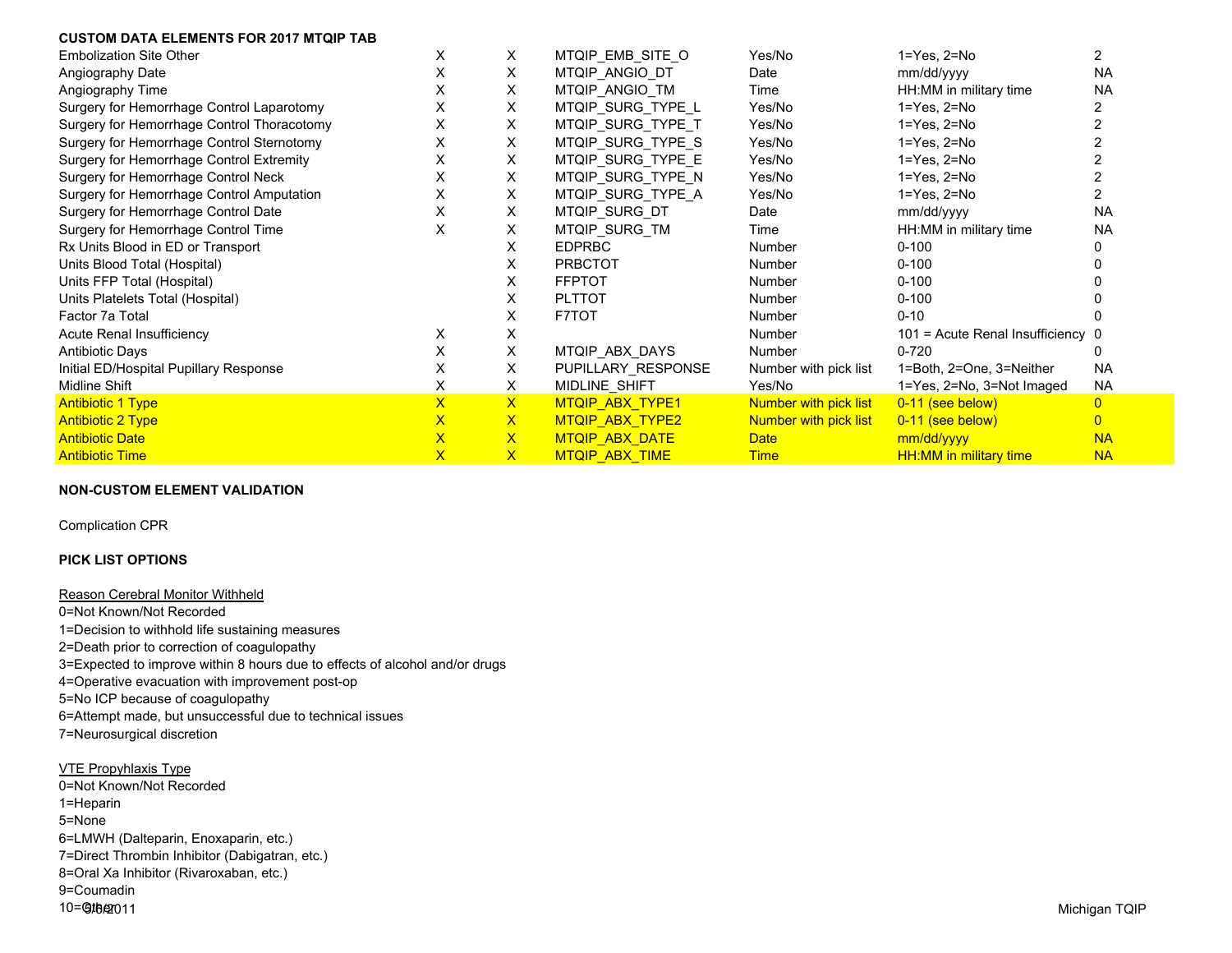### **CUSTOM DATA ELEMENTS FOR 2017 MTQIP TAB**

| <b>Embolization Site Other</b>             | X.           | X            | MTQIP_EMB_SITE_O      | Yes/No                | $1 = Yes, 2 = No$                 | 2              |
|--------------------------------------------|--------------|--------------|-----------------------|-----------------------|-----------------------------------|----------------|
| Angiography Date                           | X            | Χ            | MTQIP_ANGIO_DT        | Date                  | mm/dd/yyyy                        | <b>NA</b>      |
| Angiography Time                           | X            | X            | MTQIP ANGIO TM        | Time                  | HH:MM in military time            | <b>NA</b>      |
| Surgery for Hemorrhage Control Laparotomy  | Х            | Χ            | MTQIP SURG TYPE L     | Yes/No                | $1 = Yes$ , $2 = No$              |                |
| Surgery for Hemorrhage Control Thoracotomy | X            | Χ            | MTQIP_SURG_TYPE_T     | Yes/No                | $1 = Yes, 2 = No$                 |                |
| Surgery for Hemorrhage Control Sternotomy  | Х            | X            | MTQIP_SURG_TYPE_S     | Yes/No                | $1 = Yes, 2 = No$                 |                |
| Surgery for Hemorrhage Control Extremity   | X            | Χ            | MTQIP_SURG_TYPE_E     | Yes/No                | $1 = Yes, 2 = No$                 |                |
| Surgery for Hemorrhage Control Neck        | X            | Χ            | MTQIP SURG TYPE N     | Yes/No                | $1 = Yes, 2 = No$                 |                |
| Surgery for Hemorrhage Control Amputation  | X            | Χ            | MTQIP SURG TYPE A     | Yes/No                | $1 = Yes, 2 = No$                 |                |
| Surgery for Hemorrhage Control Date        | х            | Χ            | MTQIP SURG DT         | Date                  | mm/dd/yyyy                        | <b>NA</b>      |
| Surgery for Hemorrhage Control Time        | Х            | X            | MTQIP_SURG_TM         | Time                  | HH:MM in military time            | <b>NA</b>      |
| Rx Units Blood in ED or Transport          |              | X            | <b>EDPRBC</b>         | Number                | $0 - 100$                         |                |
| Units Blood Total (Hospital)               |              | x            | <b>PRBCTOT</b>        | Number                | $0 - 100$                         |                |
| Units FFP Total (Hospital)                 |              | X            | <b>FFPTOT</b>         | Number                | $0 - 100$                         |                |
| Units Platelets Total (Hospital)           |              | X.           | <b>PLTTOT</b>         | Number                | $0 - 100$                         |                |
| Factor 7a Total                            |              | X.           | <b>F7TOT</b>          | Number                | $0 - 10$                          |                |
| Acute Renal Insufficiency                  | X.           | X            |                       | <b>Number</b>         | 101 = Acute Renal Insufficiency 0 |                |
| <b>Antibiotic Days</b>                     | X            | X            | MTQIP_ABX_DAYS        | Number                | $0 - 720$                         |                |
| Initial ED/Hospital Pupillary Response     | X            | X            | PUPILLARY RESPONSE    | Number with pick list | 1=Both, 2=One, 3=Neither          | <b>NA</b>      |
| Midline Shift                              | X.           | X            | MIDLINE SHIFT         | Yes/No                | 1=Yes, 2=No, 3=Not Imaged         | NA.            |
| <b>Antibiotic 1 Type</b>                   | $\mathsf{x}$ | $\mathsf{X}$ | MTQIP ABX TYPE1       | Number with pick list | 0-11 (see below)                  | $\overline{0}$ |
| <b>Antibiotic 2 Type</b>                   | $\mathsf{X}$ | $\mathsf{X}$ | MTQIP ABX TYPE2       | Number with pick list | 0-11 (see below)                  | $\overline{0}$ |
| <b>Antibiotic Date</b>                     | $\mathsf{X}$ | $\mathsf{X}$ | MTQIP ABX DATE        | <b>Date</b>           | mm/dd/yyyy                        | <b>NA</b>      |
| <b>Antibiotic Time</b>                     | $\mathsf{X}$ | $\mathsf{X}$ | <b>MTQIP ABX TIME</b> | <b>Time</b>           | <b>HH:MM in military time</b>     | <b>NA</b>      |

### **NON-CUSTOM ELEMENT VALIDATION**

Complication CPR

## **PICK LIST OPTIONS**

Reason Cerebral Monitor Withheld 0=Not Known/Not Recorded 1=Decision to withhold life sustaining measures 2=Death prior to correction of coagulopathy 3=Expected to improve within 8 hours due to effects of alcohol and/or drugs 4=Operative evacuation with improvement post-op 5=No ICP because of coagulopathy 6=Attempt made, but unsuccessful due to technical issues 7=Neurosurgical discretion

5/6/2011 Michigan TQIP VTE Propyhlaxis Type 0=Not Known/Not Recorded 1=Heparin 5=None 6=LMWH (Dalteparin, Enoxaparin, etc.) 7=Direct Thrombin Inhibitor (Dabigatran, etc.) 8=Oral Xa Inhibitor (Rivaroxaban, etc.) 9=Coumadin 10=**Gtbero11**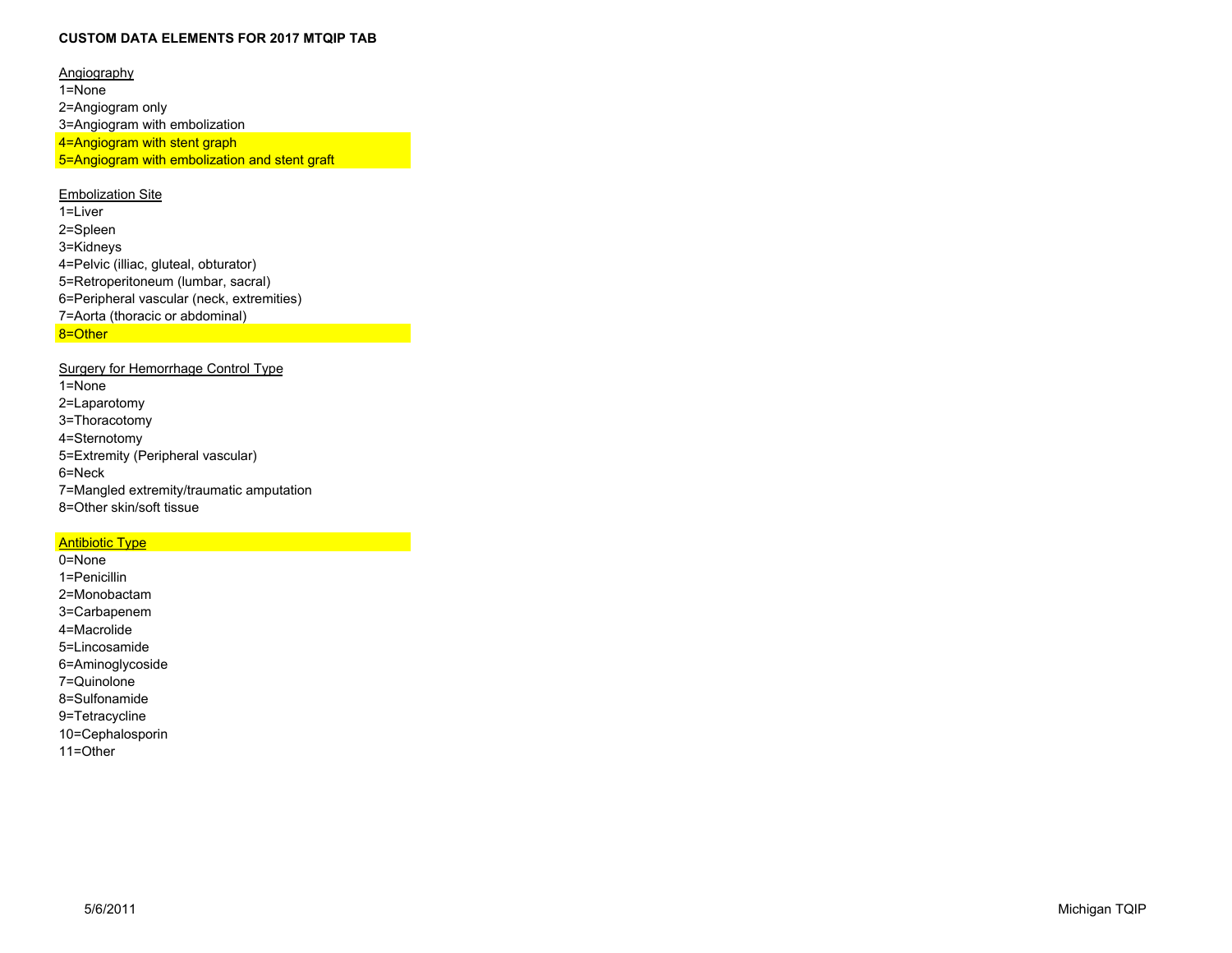#### **CUSTOM DATA ELEMENTS FOR 2017 MTQIP TAB**

**Angiography** 1=None 2=Angiogram only 3=Angiogram with embolization 4=Angiogram with stent graph 5=Angiogram with embolization and stent graft

## **Embolization Site**

1=Liver 2=Spleen 3=Kidneys 4=Pelvic (illiac, gluteal, obturator) 5=Retroperitoneum (lumbar, sacral) 6=Peripheral vascular (neck, extremities) 7=Aorta (thoracic or abdominal) 8=Other

### Surgery for Hemorrhage Control Type

| $1 =$ None                               |
|------------------------------------------|
| 2=Laparotomy                             |
| 3=Thoracotomy                            |
| 4=Sternotomy                             |
| 5=Extremity (Peripheral vascular)        |
| $6 =$ Neck                               |
| 7=Mangled extremity/traumatic amputation |
| 8=Other skin/soft tissue                 |

# **Antibiotic Type**

0=None 1=Penicillin 2=Monobactam 3=Carbapenem 4=Macrolide 5=Lincosamide 6=Aminoglycoside 7=Quinolone 8=Sulfonamide 9=Tetracycline 10=Cephalosporin 11=Other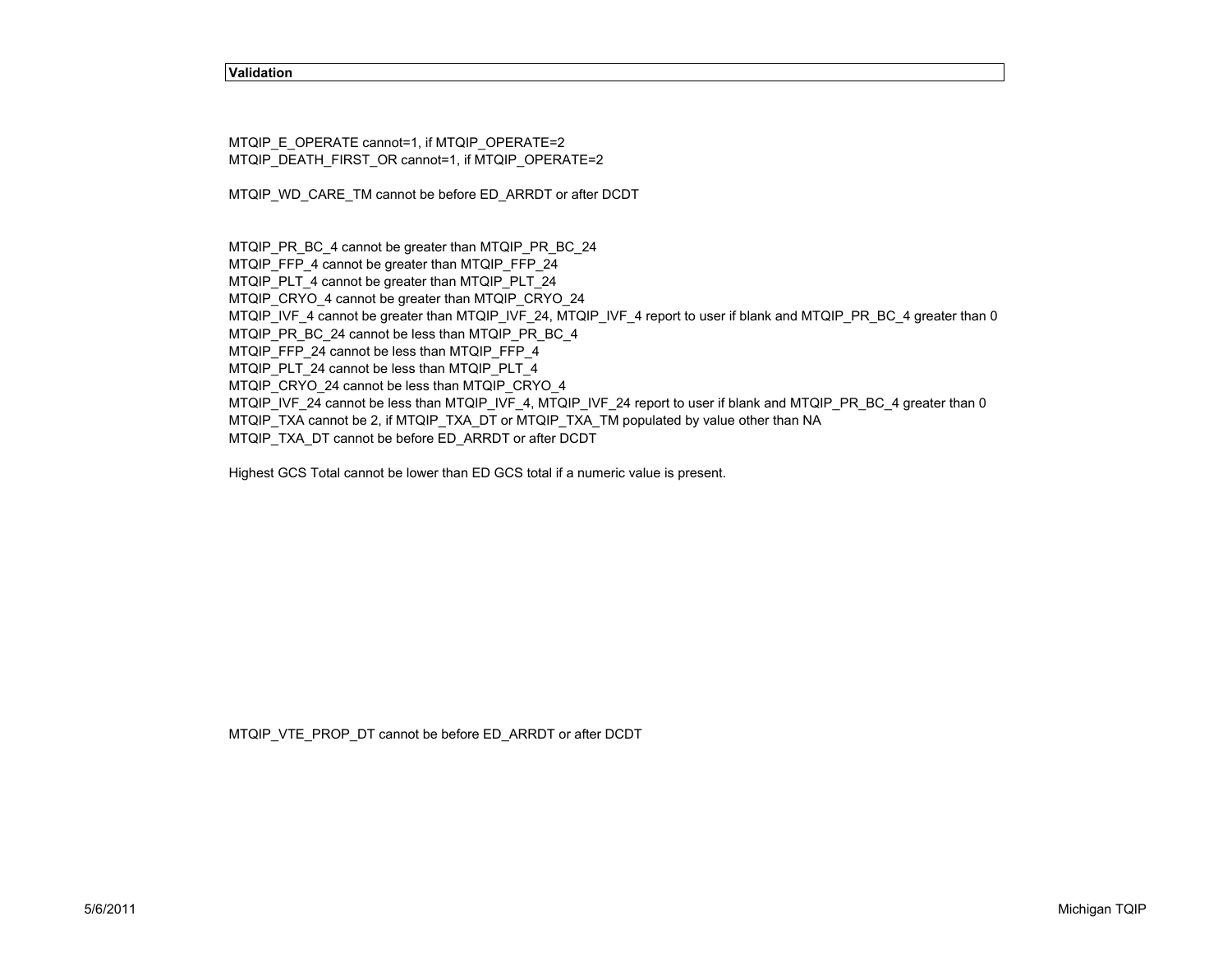#### **Validation**

MTQIP\_E\_OPERATE cannot=1, if MTQIP\_OPERATE=2 MTQIP\_DEATH\_FIRST\_OR cannot=1, if MTQIP\_OPERATE=2

MTQIP\_WD\_CARE\_TM cannot be before ED\_ARRDT or after DCDT

MTQIP\_PR\_BC\_4 cannot be greater than MTQIP\_PR\_BC\_24

MTQIP\_FFP\_4 cannot be greater than MTQIP\_FFP\_24

MTQIP\_PLT\_4 cannot be greater than MTQIP\_PLT\_24

MTQIP\_CRYO\_4 cannot be greater than MTQIP\_CRYO\_24

MTQIP\_IVF\_4 cannot be greater than MTQIP\_IVF\_24, MTQIP\_IVF\_4 report to user if blank and MTQIP\_PR\_BC\_4 greater than 0

MTQIP\_PR\_BC\_24 cannot be less than MTQIP\_PR\_BC\_4

MTQIP\_FFP\_24 cannot be less than MTQIP\_FFP\_4

MTQIP\_PLT\_24 cannot be less than MTQIP\_PLT\_4

MTQIP\_CRYO\_24 cannot be less than MTQIP\_CRYO\_4

MTQIP\_IVF\_24 cannot be less than MTQIP\_IVF\_4, MTQIP\_IVF\_24 report to user if blank and MTQIP\_PR\_BC\_4 greater than 0

MTQIP\_TXA cannot be 2, if MTQIP\_TXA\_DT or MTQIP\_TXA\_TM populated by value other than NA

MTQIP\_TXA\_DT cannot be before ED\_ARRDT or after DCDT

Highest GCS Total cannot be lower than ED GCS total if a numeric value is present.

MTQIP\_VTE\_PROP\_DT cannot be before ED\_ARRDT or after DCDT